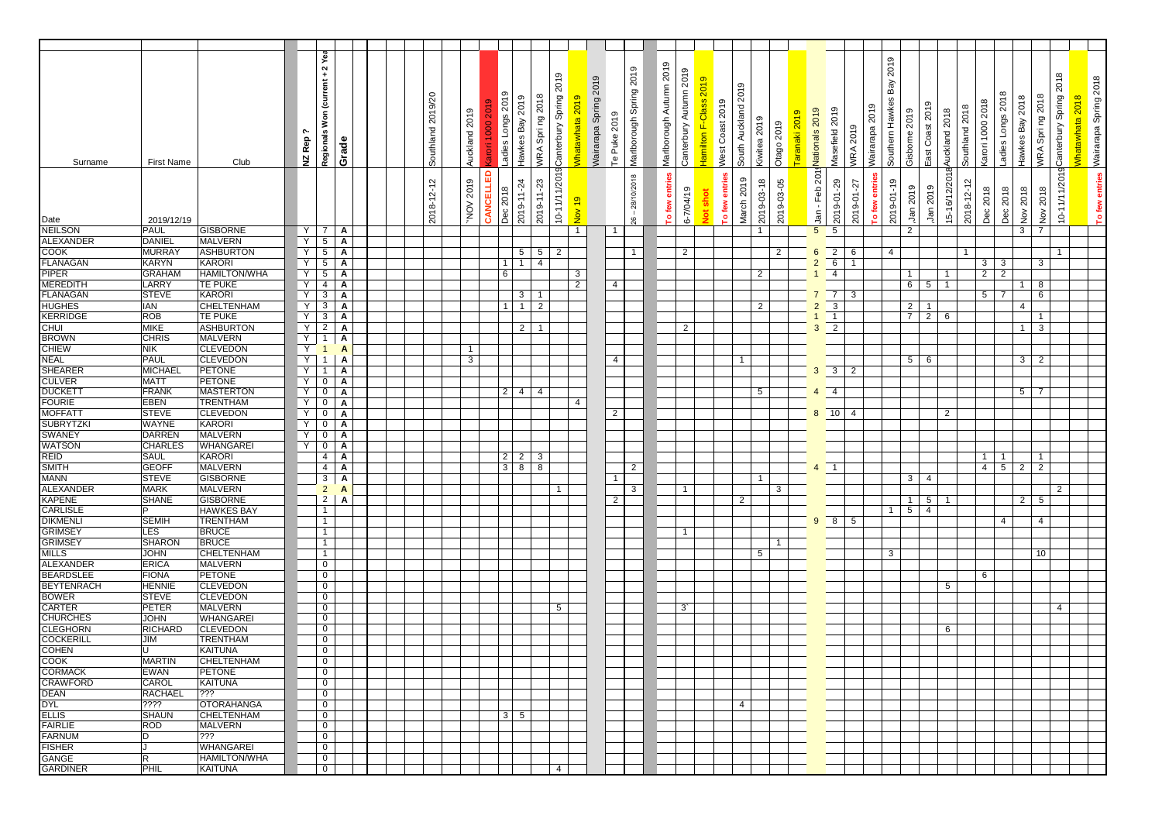|                                     |                               |                                    |        | Regionals Won (current + 2 Yea    |                   |  |                   |                |           |                   |                                                           |                        |                 |                       |                |                    |                         |                        |                              |                     |                          |                |               |                                  |                                                      |                | 2019            |                |                 |                |                                    |                              |                 |                                |                        |                       |
|-------------------------------------|-------------------------------|------------------------------------|--------|-----------------------------------|-------------------|--|-------------------|----------------|-----------|-------------------|-----------------------------------------------------------|------------------------|-----------------|-----------------------|----------------|--------------------|-------------------------|------------------------|------------------------------|---------------------|--------------------------|----------------|---------------|----------------------------------|------------------------------------------------------|----------------|-----------------|----------------|-----------------|----------------|------------------------------------|------------------------------|-----------------|--------------------------------|------------------------|-----------------------|
|                                     |                               |                                    |        |                                   |                   |  |                   |                |           |                   |                                                           |                        |                 |                       |                | 2019               | Marlborough Autumn 2019 | Canterbury Autumn 2019 |                              |                     |                          |                |               |                                  |                                                      |                |                 |                |                 |                |                                    |                              |                 |                                |                        |                       |
|                                     |                               |                                    |        |                                   |                   |  |                   |                |           |                   |                                                           | Canterbury Spring 2019 |                 | Wairarapa Spring 2019 |                |                    |                         |                        | <b>Hamilton F-Class 2019</b> | South Auckland 2019 |                          |                |               |                                  |                                                      |                | Bay             |                |                 |                |                                    |                              |                 |                                | Canterbury Spring 2018 | Wairarapa Spring 2018 |
|                                     |                               |                                    |        |                                   |                   |  | Southland 2019/20 |                |           | Ladies Longs 2019 | WRA Spring 2018<br>Hawkes Bay 2019                        |                        | Vhatawhata 2019 |                       |                |                    |                         |                        |                              |                     |                          |                |               |                                  |                                                      |                | Southern Hawkes |                |                 |                |                                    | Ladies Longs 2018            | Hawkes Bay 2018 | WRA Spring 2018                |                        | Vhatawhata 2018       |
|                                     |                               |                                    |        |                                   |                   |  |                   | Auckland 2019  |           |                   |                                                           |                        |                 |                       | Te Puke 2019   |                    |                         |                        |                              | West Coast 2019     |                          |                | Taranaki 2019 | Nationals 2019                   | Masefield 2019                                       | Wairarapa 2019 |                 | Gisborne 2019  | East Coast 2019 | Auckland 2018  | Karori 1000 2018<br>Southland 2018 |                              |                 |                                |                        |                       |
|                                     |                               |                                    | ᡣ      |                                   |                   |  |                   |                |           |                   |                                                           |                        |                 |                       |                |                    |                         |                        |                              |                     |                          |                |               |                                  |                                                      |                |                 |                |                 |                |                                    |                              |                 |                                |                        |                       |
|                                     |                               |                                    | NZ Rep |                                   |                   |  |                   |                |           |                   |                                                           |                        |                 |                       |                |                    |                         |                        |                              |                     | Kiwitea 2019             |                |               |                                  | <b>WRA 2019</b>                                      |                |                 |                |                 |                |                                    |                              |                 |                                |                        |                       |
| Surname                             | <b>First Name</b>             | Club                               |        |                                   | Grade             |  |                   |                |           |                   |                                                           |                        |                 |                       |                | Marlborough Spring |                         |                        |                              |                     |                          | Otago 2019     |               |                                  |                                                      |                |                 |                |                 |                |                                    |                              |                 |                                |                        |                       |
|                                     |                               |                                    |        |                                   |                   |  |                   |                |           |                   |                                                           |                        |                 |                       |                |                    |                         |                        |                              |                     |                          |                |               |                                  |                                                      |                |                 |                |                 |                |                                    |                              |                 |                                |                        |                       |
|                                     |                               |                                    |        |                                   |                   |  |                   |                |           |                   |                                                           |                        |                 |                       |                | 28/10/2018         |                         |                        |                              | o few entries       |                          |                |               |                                  |                                                      | o few entries  |                 |                |                 |                |                                    |                              |                 |                                |                        |                       |
|                                     |                               |                                    |        |                                   |                   |  |                   |                |           |                   |                                                           |                        |                 |                       |                |                    |                         |                        | shot                         |                     |                          |                |               |                                  |                                                      |                |                 |                |                 |                |                                    |                              |                 |                                |                        |                       |
|                                     | 2019/12/19                    |                                    |        |                                   |                   |  | 2018-12-12        | NOV 2019       | CANCELLED | Dec 2018          | 2019-11-24<br>2019-11-23                                  | 10-11/11/2019          | <b>01 vol</b>   |                       |                | $\frac{8}{10}$     | To few entries          | $6 - 7/04/19$          | ă                            |                     | March 2019<br>2019-03-18 | 2019-03-05     |               | Jan - Feb 201                    | 2019-01-29                                           | 2019-01-27     | 2019-01-19      | Jan 2019       | Jan 2019        | 15-16/12/2018  | 2018-12-12<br>Dec 2018             | Dec 2018                     | Nov 2018        | Nov 2018                       | 10-11/11/2019          | To few entries        |
| Date<br>NEILSON                     | <b>PAUL</b>                   | <b>GISBORNE</b>                    | Y      | $\overline{7}$                    | A                 |  |                   |                |           |                   |                                                           |                        | $\mathbf{1}$    |                       | -1             |                    |                         |                        |                              |                     |                          |                |               | 5                                | 5                                                    |                |                 | $\mathbf{2}$   |                 |                |                                    |                              | 3 <sup>1</sup>  | $\overline{7}$                 |                        |                       |
| <b>ALEXANDER</b>                    | <b>DANIEL</b>                 | <b>MALVERN</b>                     | Y      | $5\overline{)}$                   | $\mathbf{A}$      |  |                   |                |           |                   |                                                           |                        |                 |                       |                |                    |                         |                        |                              |                     |                          |                |               |                                  |                                                      |                |                 |                |                 |                |                                    |                              |                 |                                |                        |                       |
| <b>COOK</b><br><b>FLANAGAN</b>      | <b>MURRAY</b><br><b>KARYN</b> | <b>ASHBURTON</b><br>KARORI         | Y<br>Y | $5\overline{)}$                   | A                 |  |                   |                |           | $\mathbf{1}$      | $5\overline{)}$<br>$5\overline{5}$<br>1<br>$\overline{4}$ | $\overline{2}$         |                 |                       |                | $\mathbf{1}$       |                         | $\overline{2}$         |                              |                     |                          | $\overline{2}$ |               | $6\overline{6}$                  | $\sqrt{2}$<br>6<br>$6\overline{6}$<br>$\overline{1}$ |                | 4               |                |                 |                | $\overline{1}$                     |                              |                 |                                | $\mathbf{1}$           |                       |
| <b>PIPER</b>                        | <b>GRAHAM</b>                 | <b>HAMILTON/WHA</b>                | Y      | $\overline{5}$<br>$5\overline{)}$ | A<br>A            |  |                   |                |           | 6                 |                                                           |                        | 3               |                       |                |                    |                         |                        |                              |                     | $\overline{2}$           |                |               | $\overline{2}$                   | $\overline{4}$                                       |                |                 | $\mathbf{1}$   |                 | $\overline{1}$ | $\overline{2}$                     | $3 \mid 3$<br>$\overline{2}$ |                 | $\mathbf{3}$                   |                        |                       |
| <b>MEREDITH</b>                     | LARRY                         | TE PUKE                            | Y      | $\overline{4}$                    | Α                 |  |                   |                |           |                   |                                                           |                        | $\overline{2}$  |                       | $\overline{4}$ |                    |                         |                        |                              |                     |                          |                |               |                                  |                                                      |                |                 | 6              | $5 \mid 1$      |                |                                    |                              | 1               | 8                              |                        |                       |
| <b>FLANAGAN</b>                     | <b>STEVE</b>                  | <b>KARORI</b>                      | Y      | $\overline{\mathbf{3}}$           | A                 |  |                   |                |           |                   | 3 <sup>1</sup><br>$\overline{1}$                          |                        |                 |                       |                |                    |                         |                        |                              |                     |                          |                |               |                                  | $\overline{7}$<br>3                                  |                |                 |                |                 |                | 5 <sub>5</sub>                     | $\overline{7}$               |                 | 6                              |                        |                       |
| <b>HUGHES</b><br><b>KERRIDGE</b>    | <b>IAN</b><br><b>ROB</b>      | CHELTENHAM                         | Y      | $\mathbf{3}$                      | Α                 |  |                   |                |           | $\mathbf{1}$      | $\overline{2}$<br>$\mathbf{1}$                            |                        |                 |                       |                |                    |                         |                        |                              |                     | $\overline{2}$           |                |               | $\overline{2}$                   | 3                                                    |                |                 | 2 <sup>1</sup> | $\overline{1}$  |                |                                    |                              | $\overline{4}$  |                                |                        |                       |
|                                     | <b>MIKE</b>                   | <b>TE PUKE</b><br><b>ASHBURTON</b> | Y<br>Y | $\mathbf{3}$<br>$\overline{2}$    | Α<br>A            |  |                   |                |           |                   | $2 \mid 1$                                                |                        |                 |                       |                |                    |                         | 2                      |                              |                     |                          |                |               | 3                                | $\overline{1}$<br>$\overline{2}$                     |                |                 | 7 <sup>1</sup> | $2^{\circ}$     | 6              |                                    |                              | 1 <sup>1</sup>  | $\mathbf{1}$<br>$\overline{3}$ |                        |                       |
| <b>CHUI<br/>BROWN</b><br>CHIEW      | <b>CHRIS</b>                  | <b>MALVERN</b>                     | Y      | $\overline{1}$                    | Α                 |  |                   |                |           |                   |                                                           |                        |                 |                       |                |                    |                         |                        |                              |                     |                          |                |               |                                  |                                                      |                |                 |                |                 |                |                                    |                              |                 |                                |                        |                       |
|                                     | <b>NIK</b>                    | <b>CLEVEDON</b>                    | Y      | $\overline{1}$                    | A                 |  |                   | $\overline{1}$ |           |                   |                                                           |                        |                 |                       |                |                    |                         |                        |                              |                     |                          |                |               |                                  |                                                      |                |                 |                |                 |                |                                    |                              |                 |                                |                        |                       |
| <b>NEAL</b>                         | PAUL                          | <b>CLEVEDON</b>                    | Y      | $\mathbf{1}$                      | A                 |  |                   | 3              |           |                   |                                                           |                        |                 |                       | $\overline{4}$ |                    |                         |                        |                              | $\mathbf{1}$        |                          |                |               |                                  |                                                      |                |                 | $5 \quad 6$    |                 |                |                                    |                              |                 | $3 \mid 2$                     |                        |                       |
| <b>SHEARER</b>                      | MICHAEL<br><b>MATT</b>        | PETONE<br><b>PETONE</b>            | Y<br>Y | $\mathbf{1}$<br>$\overline{0}$    | Α<br>A            |  |                   |                |           |                   |                                                           |                        |                 |                       |                |                    |                         |                        |                              |                     |                          |                |               | $3 \mid 3 \mid$                  | $\overline{2}$                                       |                |                 |                |                 |                |                                    |                              |                 |                                |                        |                       |
| <b>CULVER</b><br>DUCKETT            | FRANK                         | <b>MASTERTON</b>                   | Y      | $\mathbf 0$                       | Α                 |  |                   |                |           | $\overline{2}$    | $4 \mid 4$                                                |                        |                 |                       |                |                    |                         |                        |                              |                     | $5\overline{5}$          |                |               | $\overline{4}$<br>$\overline{4}$ |                                                      |                |                 |                |                 |                |                                    |                              |                 | $5 \mid 7$                     |                        |                       |
| <b>FOURIE</b>                       | <b>EBEN</b>                   | <b>TRENTHAM</b>                    | Y      | $\mathbf 0$                       | Α                 |  |                   |                |           |                   |                                                           |                        | 4               |                       |                |                    |                         |                        |                              |                     |                          |                |               |                                  |                                                      |                |                 |                |                 |                |                                    |                              |                 |                                |                        |                       |
| <b>MOFFATT</b>                      | <b>STEVE</b>                  | <b>CLEVEDON</b>                    | Y      | $\overline{0}$                    | A                 |  |                   |                |           |                   |                                                           |                        |                 |                       | $\overline{2}$ |                    |                         |                        |                              |                     |                          |                |               | $8 \mid 10 \mid$                 | $\overline{4}$                                       |                |                 |                |                 | $\overline{2}$ |                                    |                              |                 |                                |                        |                       |
| <b>SUBRYTZKI</b>                    | <b>WAYNE</b><br>DARREN        | <b>KARORI</b><br><b>MALVERN</b>    | Y<br>Y | $\overline{0}$<br>$\overline{0}$  | Α<br>A            |  |                   |                |           |                   |                                                           |                        |                 |                       |                |                    |                         |                        |                              |                     |                          |                |               |                                  |                                                      |                |                 |                |                 |                |                                    |                              |                 |                                |                        |                       |
|                                     | <b>CHARLES</b>                | <b>WHANGAREI</b>                   | Y      | $\overline{0}$                    | Α                 |  |                   |                |           |                   |                                                           |                        |                 |                       |                |                    |                         |                        |                              |                     |                          |                |               |                                  |                                                      |                |                 |                |                 |                |                                    |                              |                 |                                |                        |                       |
| SWANEY<br>WATSON<br>REID            | <b>SAUL</b>                   | <b>KARORI</b>                      |        | 4                                 | Α                 |  |                   |                |           | $\overline{2}$    | $\overline{2}$<br>3                                       |                        |                 |                       |                |                    |                         |                        |                              |                     |                          |                |               |                                  |                                                      |                |                 |                |                 |                | $\mathbf{1}$                       |                              |                 |                                |                        |                       |
| <b>SMITH</b>                        | <b>GEOFF</b>                  | <b>MALVERN</b>                     |        | $\overline{4}$                    | A                 |  |                   |                |           | $\overline{3}$    | 8<br>8                                                    |                        |                 |                       |                | $\overline{2}$     |                         |                        |                              |                     |                          |                |               | $4 \overline{1}$                 |                                                      |                |                 |                |                 |                | $\overline{4}$                     | 5 <sup>1</sup>               | $\overline{2}$  | $\overline{2}$                 |                        |                       |
| <b>MANN</b><br><b>ALEXANDER</b>     | <b>STEVE</b><br><b>MARK</b>   | <b>GISBORNE</b><br><b>MALVERN</b>  |        | $\overline{3}$<br>$\overline{2}$  | A<br>$\mathbf{A}$ |  |                   |                |           |                   |                                                           |                        |                 |                       | -1             | 3                  |                         | $\mathbf{1}$           |                              |                     | $\mathbf{1}$             | 3              |               |                                  |                                                      |                |                 | 3 <sup>1</sup> | $\overline{4}$  |                |                                    |                              |                 |                                | $\overline{2}$         |                       |
| <b>KAPENE</b>                       | <b>SHANE</b>                  | <b>GISBORNE</b>                    |        | $\overline{2}$                    | Α                 |  |                   |                |           |                   |                                                           |                        |                 |                       | $\overline{2}$ |                    |                         |                        |                              |                     | $\overline{2}$           |                |               |                                  |                                                      |                |                 | $1 \mid$       | 5 <sup>1</sup>  |                |                                    |                              |                 | $2 \mid 5$                     |                        |                       |
| <b>CARLISLE</b>                     | P                             | <b>HAWKES BAY</b>                  |        | $\mathbf{1}$                      |                   |  |                   |                |           |                   |                                                           |                        |                 |                       |                |                    |                         |                        |                              |                     |                          |                |               |                                  |                                                      |                | $\mathbf{1}$    | 5 <sup>1</sup> | $\overline{4}$  |                |                                    |                              |                 |                                |                        |                       |
| <b>DIKMENLI</b>                     | <b>SEMIH</b>                  | <b>TRENTHAM</b>                    |        | $\mathbf{1}$                      |                   |  |                   |                |           |                   |                                                           |                        |                 |                       |                |                    |                         |                        |                              |                     |                          |                |               | $9 \t 8$                         | 5                                                    |                |                 |                |                 |                |                                    | 4                            |                 | $\overline{4}$                 |                        |                       |
| <b>GRIMSEY</b><br><b>GRIMSEY</b>    | LES<br><b>SHARON</b>          | <b>BRUCE</b><br><b>BRUCE</b>       |        | $\overline{1}$<br>1               |                   |  |                   |                |           |                   |                                                           |                        |                 |                       |                |                    |                         | $\overline{1}$         |                              |                     |                          | $\mathbf{1}$   |               |                                  |                                                      |                |                 |                |                 |                |                                    |                              |                 |                                |                        |                       |
| MILLS<br>ALEXANDER                  | <b>JOHN</b>                   | CHELTENHAM                         |        | $\mathbf{1}$                      |                   |  |                   |                |           |                   |                                                           |                        |                 |                       |                |                    |                         |                        |                              |                     | 5                        |                |               |                                  |                                                      |                | 3               |                |                 |                |                                    |                              |                 | 10                             |                        |                       |
|                                     | <b>ERICA</b>                  | <b>MALVERN</b>                     |        | $\overline{0}$                    |                   |  |                   |                |           |                   |                                                           |                        |                 |                       |                |                    |                         |                        |                              |                     |                          |                |               |                                  |                                                      |                |                 |                |                 |                |                                    |                              |                 |                                |                        |                       |
| <b>BEARDSLEE</b>                    | <b>FIONA</b>                  | PETONE                             |        | $\overline{0}$                    |                   |  |                   |                |           |                   |                                                           |                        |                 |                       |                |                    |                         |                        |                              |                     |                          |                |               |                                  |                                                      |                |                 |                |                 |                | 6                                  |                              |                 |                                |                        |                       |
| BEYTENRACH                          | <b>HENNIE</b><br><b>STEVE</b> | <b>CLEVEDON</b><br><b>CLEVEDON</b> |        | $\overline{0}$<br>$\overline{0}$  |                   |  |                   |                |           |                   |                                                           |                        |                 |                       |                |                    |                         |                        |                              |                     |                          |                |               |                                  |                                                      |                |                 |                |                 | 5              |                                    |                              |                 |                                |                        |                       |
| <b>CARTER</b>                       | PETER                         | <b>MALVERN</b>                     |        | $\overline{0}$                    |                   |  |                   |                |           |                   |                                                           | $5\overline{5}$        |                 |                       |                |                    |                         | $3^{\circ}$            |                              |                     |                          |                |               |                                  |                                                      |                |                 |                |                 |                |                                    |                              |                 |                                | $\overline{4}$         |                       |
| <b>CHURCHES</b>                     | JOHN                          | WHANGAREI                          |        | $\mathbf 0$                       |                   |  |                   |                |           |                   |                                                           |                        |                 |                       |                |                    |                         |                        |                              |                     |                          |                |               |                                  |                                                      |                |                 |                |                 |                |                                    |                              |                 |                                |                        |                       |
| <b>CLEGHORN</b><br><b>COCKERILL</b> | <b>RICHARD</b><br>JIM         | <b>CLEVEDON</b>                    |        | $\overline{0}$                    |                   |  |                   |                |           |                   |                                                           |                        |                 |                       |                |                    |                         |                        |                              |                     |                          |                |               |                                  |                                                      |                |                 |                |                 | 6              |                                    |                              |                 |                                |                        |                       |
| <b>COHEN</b>                        | U                             | <b>TRENTHAM</b><br><b>KAITUNA</b>  |        | $\overline{0}$<br>$\overline{0}$  |                   |  |                   |                |           |                   |                                                           |                        |                 |                       |                |                    |                         |                        |                              |                     |                          |                |               |                                  |                                                      |                |                 |                |                 |                |                                    |                              |                 |                                |                        |                       |
| COOK                                | MARTIN                        | CHELTENHAM                         |        | $\overline{0}$                    |                   |  |                   |                |           |                   |                                                           |                        |                 |                       |                |                    |                         |                        |                              |                     |                          |                |               |                                  |                                                      |                |                 |                |                 |                |                                    |                              |                 |                                |                        |                       |
| <b>CORMACK</b>                      | <b>EWAN</b>                   | PETONE                             |        | $\overline{0}$                    |                   |  |                   |                |           |                   |                                                           |                        |                 |                       |                |                    |                         |                        |                              |                     |                          |                |               |                                  |                                                      |                |                 |                |                 |                |                                    |                              |                 |                                |                        |                       |
| <b>CRAWFORD</b><br><b>DEAN</b>      | CAROL<br><b>RACHAEL</b>       | KAITUNA<br>727                     |        | $\overline{0}$                    |                   |  |                   |                |           |                   |                                                           |                        |                 |                       |                |                    |                         |                        |                              |                     |                          |                |               |                                  |                                                      |                |                 |                |                 |                |                                    |                              |                 |                                |                        |                       |
| <b>DYL</b>                          | ????                          | <b>OTORAHANGA</b>                  |        | $\overline{0}$<br>$\overline{0}$  |                   |  |                   |                |           |                   |                                                           |                        |                 |                       |                |                    |                         |                        |                              |                     | 4                        |                |               |                                  |                                                      |                |                 |                |                 |                |                                    |                              |                 |                                |                        |                       |
|                                     | <b>SHAUN</b>                  | <b>CHELTENHAM</b>                  |        | $\overline{0}$                    |                   |  |                   |                |           | $3 \mid 5$        |                                                           |                        |                 |                       |                |                    |                         |                        |                              |                     |                          |                |               |                                  |                                                      |                |                 |                |                 |                |                                    |                              |                 |                                |                        |                       |
| ELLIS<br>FAIRLIE                    | <b>ROD</b>                    | <b>MALVERN</b>                     |        | $\overline{0}$                    |                   |  |                   |                |           |                   |                                                           |                        |                 |                       |                |                    |                         |                        |                              |                     |                          |                |               |                                  |                                                      |                |                 |                |                 |                |                                    |                              |                 |                                |                        |                       |
| <b>FARNUM</b>                       | ID.                           | $ ??\}$                            |        | $\mathbf{0}$                      |                   |  |                   |                |           |                   |                                                           |                        |                 |                       |                |                    |                         |                        |                              |                     |                          |                |               |                                  |                                                      |                |                 |                |                 |                |                                    |                              |                 |                                |                        |                       |
| <b>FISHER</b><br><b>GANGE</b>       | R                             | WHANGAREI<br><b>HAMILTON/WHA</b>   |        | $\overline{0}$<br>$\overline{0}$  |                   |  |                   |                |           |                   |                                                           |                        |                 |                       |                |                    |                         |                        |                              |                     |                          |                |               |                                  |                                                      |                |                 |                |                 |                |                                    |                              |                 |                                |                        |                       |
| <b>GARDINER</b>                     | PHIL                          | KAITUNA                            |        | $\overline{0}$                    |                   |  |                   |                |           |                   |                                                           | $\overline{4}$         |                 |                       |                |                    |                         |                        |                              |                     |                          |                |               |                                  |                                                      |                |                 |                |                 |                |                                    |                              |                 |                                |                        |                       |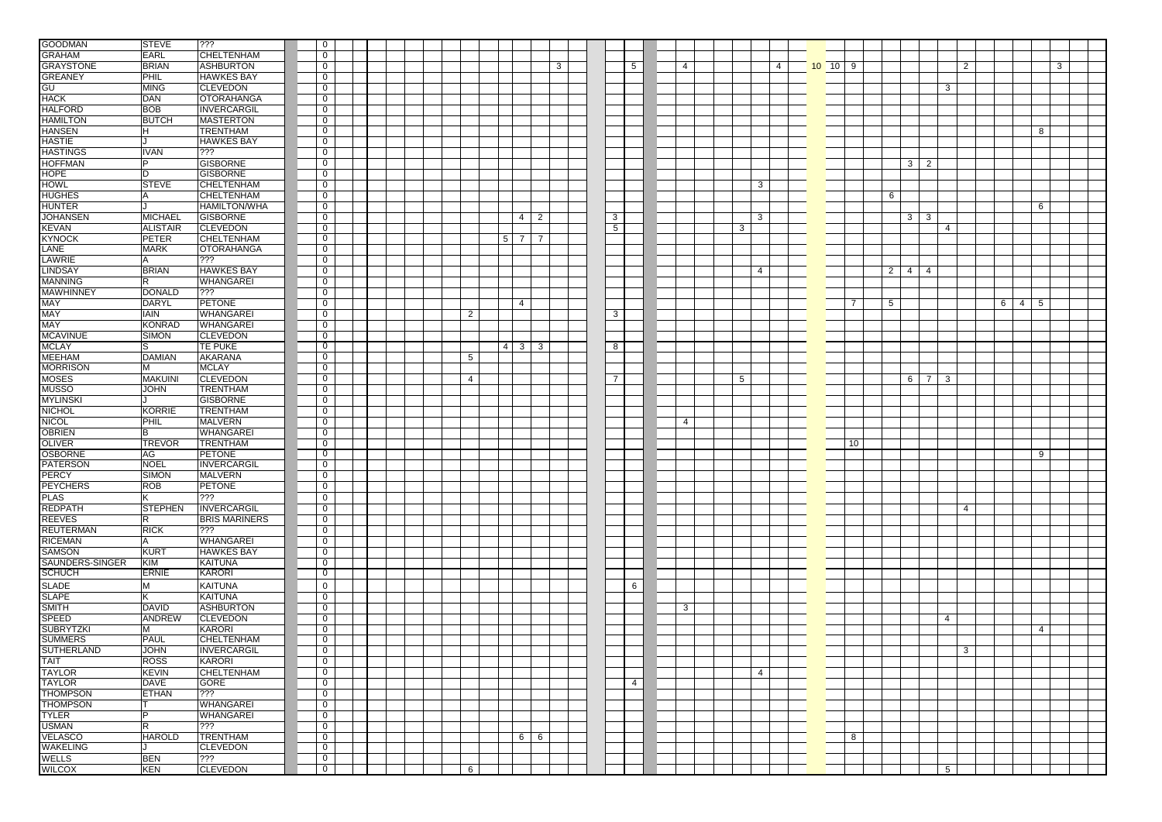| <b>GOODMAN</b>    | <b>STEVE</b>    | 333                  | $\overline{0}$ |  |  |                 |                |                |                |              |                 |                |                |   |                |                 |                |                   |                 |                 |                 |                |   |
|-------------------|-----------------|----------------------|----------------|--|--|-----------------|----------------|----------------|----------------|--------------|-----------------|----------------|----------------|---|----------------|-----------------|----------------|-------------------|-----------------|-----------------|-----------------|----------------|---|
| <b>GRAHAM</b>     | <b>EARL</b>     | CHELTENHAM           | $\mathbf 0$    |  |  |                 |                |                |                |              |                 |                |                |   |                |                 |                |                   |                 |                 |                 |                |   |
| <b>GRAYSTONE</b>  | <b>BRIAN</b>    | <b>ASHBURTON</b>     | $\overline{0}$ |  |  |                 |                |                |                | $\mathbf{3}$ |                 | 5              | $\overline{4}$ |   | $\overline{4}$ | $10 \t 10 \t 9$ |                |                   |                 | $\overline{2}$  |                 |                | 3 |
|                   |                 |                      |                |  |  |                 |                |                |                |              |                 |                |                |   |                |                 |                |                   |                 |                 |                 |                |   |
| <b>GREANEY</b>    | PHIL            | <b>HAWKES BAY</b>    | $\overline{0}$ |  |  |                 |                |                |                |              |                 |                |                |   |                |                 |                |                   |                 |                 |                 |                |   |
| GU                | <b>MING</b>     | <b>CLEVEDON</b>      | $\overline{0}$ |  |  |                 |                |                |                |              |                 |                |                |   |                |                 |                |                   |                 | 3               |                 |                |   |
| <b>HACK</b>       | DAN             | <b>OTORAHANGA</b>    | $\overline{0}$ |  |  |                 |                |                |                |              |                 |                |                |   |                |                 |                |                   |                 |                 |                 |                |   |
| <b>HALFORD</b>    | <b>BOB</b>      | <b>INVERCARGIL</b>   | $\overline{0}$ |  |  |                 |                |                |                |              |                 |                |                |   |                |                 |                |                   |                 |                 |                 |                |   |
| <b>HAMILTON</b>   | <b>BUTCH</b>    | <b>MASTERTON</b>     | $\overline{0}$ |  |  |                 |                |                |                |              |                 |                |                |   |                |                 |                |                   |                 |                 |                 |                |   |
| <b>HANSEN</b>     | H               | <b>TRENTHAM</b>      | $\overline{0}$ |  |  |                 |                |                |                |              |                 |                |                |   |                |                 |                |                   |                 |                 |                 | 8              |   |
| <b>HASTIE</b>     |                 | <b>HAWKES BAY</b>    | $\overline{0}$ |  |  |                 |                |                |                |              |                 |                |                |   |                |                 |                |                   |                 |                 |                 |                |   |
| <b>HASTINGS</b>   | <b>IVAN</b>     | ???                  | $\mathbf{0}$   |  |  |                 |                |                |                |              |                 |                |                |   |                |                 |                |                   |                 |                 |                 |                |   |
| <b>HOFFMAN</b>    | Þ               | <b>GISBORNE</b>      | $\overline{0}$ |  |  |                 |                |                |                |              |                 |                |                |   |                |                 |                |                   | $3\overline{2}$ |                 |                 |                |   |
| <b>HOPE</b>       | D               | <b>GISBORNE</b>      | $\overline{0}$ |  |  |                 |                |                |                |              |                 |                |                |   |                |                 |                |                   |                 |                 |                 |                |   |
| <b>HOWL</b>       | <b>STEVE</b>    | CHELTENHAM           | $\overline{0}$ |  |  |                 |                |                |                |              |                 |                |                |   | 3              |                 |                |                   |                 |                 |                 |                |   |
| <b>HUGHES</b>     | А               | CHELTENHAM           | $\overline{0}$ |  |  |                 |                |                |                |              |                 |                |                |   |                |                 |                | 6                 |                 |                 |                 |                |   |
| <b>HUNTER</b>     |                 | <b>HAMILTON/WHA</b>  | $\overline{0}$ |  |  |                 |                |                |                |              |                 |                |                |   |                |                 |                |                   |                 |                 |                 | 6              |   |
| <b>JOHANSEN</b>   | <b>MICHAEL</b>  | <b>GISBORNE</b>      | $\overline{0}$ |  |  |                 |                |                | $4 \mid 2$     |              |                 |                |                |   | 3              |                 |                |                   | $3 \mid 3$      |                 |                 |                |   |
|                   |                 |                      |                |  |  |                 |                |                |                |              | $\mathbf{3}$    |                |                |   |                |                 |                |                   |                 |                 |                 |                |   |
| <b>KEVAN</b>      | <b>ALISTAIR</b> | <b>CLEVEDON</b>      | $\overline{0}$ |  |  |                 |                |                |                |              | $5\overline{)}$ |                |                | 3 |                |                 |                |                   |                 | $\overline{4}$  |                 |                |   |
| <b>KYNOCK</b>     | <b>PETER</b>    | <b>CHELTENHAM</b>    | $\overline{0}$ |  |  |                 | 5              | $\overline{7}$ | $\overline{7}$ |              |                 |                |                |   |                |                 |                |                   |                 |                 |                 |                |   |
| LANE              | <b>MARK</b>     | <b>OTORAHANGA</b>    | $\overline{0}$ |  |  |                 |                |                |                |              |                 |                |                |   |                |                 |                |                   |                 |                 |                 |                |   |
| <b>LAWRIE</b>     | l A             | $ ??\}$              | $\overline{0}$ |  |  |                 |                |                |                |              |                 |                |                |   |                |                 |                |                   |                 |                 |                 |                |   |
| <b>LINDSAY</b>    | <b>BRIAN</b>    | <b>HAWKES BAY</b>    | $\overline{0}$ |  |  |                 |                |                |                |              |                 |                |                |   | $\overline{4}$ |                 |                | $2 \mid 4 \mid 4$ |                 |                 |                 |                |   |
| <b>MANNING</b>    | R               | <b>WHANGAREI</b>     | $\overline{0}$ |  |  |                 |                |                |                |              |                 |                |                |   |                |                 |                |                   |                 |                 |                 |                |   |
| <b>MAWHINNEY</b>  | <b>DONALD</b>   | 777                  | $\overline{0}$ |  |  |                 |                |                |                |              |                 |                |                |   |                |                 |                |                   |                 |                 |                 |                |   |
| <b>MAY</b>        | <b>DARYL</b>    | <b>PETONE</b>        | $\overline{0}$ |  |  |                 |                | $\overline{4}$ |                |              |                 |                |                |   |                |                 | $\overline{7}$ | 5                 |                 |                 | $6 \mid 4 \mid$ | 5              |   |
| <b>MAY</b>        | <b>IAIN</b>     | <b>WHANGAREI</b>     | $\overline{0}$ |  |  | $\overline{2}$  |                |                |                |              | $\mathbf{3}$    |                |                |   |                |                 |                |                   |                 |                 |                 |                |   |
| <b>MAY</b>        | <b>KONRAD</b>   | <b>WHANGAREI</b>     | $\overline{0}$ |  |  |                 |                |                |                |              |                 |                |                |   |                |                 |                |                   |                 |                 |                 |                |   |
| <b>MCAVINUE</b>   | <b>SIMON</b>    | <b>CLEVEDON</b>      | $\overline{0}$ |  |  |                 |                |                |                |              |                 |                |                |   |                |                 |                |                   |                 |                 |                 |                |   |
| <b>MCLAY</b>      | S               | TE PUKE              | $\overline{0}$ |  |  |                 | $\overline{4}$ | 3 <sup>1</sup> | 3              |              | 8               |                |                |   |                |                 |                |                   |                 |                 |                 |                |   |
|                   |                 |                      |                |  |  |                 |                |                |                |              |                 |                |                |   |                |                 |                |                   |                 |                 |                 |                |   |
| <b>MEEHAM</b>     | DAMIAN          | AKARANA              | $\overline{0}$ |  |  | 5               |                |                |                |              |                 |                |                |   |                |                 |                |                   |                 |                 |                 |                |   |
| <b>MORRISON</b>   | M               | <b>MCLAY</b>         | $\overline{0}$ |  |  |                 |                |                |                |              |                 |                |                |   |                |                 |                |                   |                 |                 |                 |                |   |
| <b>MOSES</b>      | <b>MAKUINI</b>  | <b>CLEVEDON</b>      | $\overline{0}$ |  |  | $\overline{4}$  |                |                |                |              | $\overline{7}$  |                |                | 5 |                |                 |                |                   | $6 \mid 7$      | 3               |                 |                |   |
| <b>MUSSO</b>      | <b>JOHN</b>     | <b>TRENTHAM</b>      | $\overline{0}$ |  |  |                 |                |                |                |              |                 |                |                |   |                |                 |                |                   |                 |                 |                 |                |   |
| <b>MYLINSKI</b>   |                 | <b>GISBORNE</b>      | $\overline{0}$ |  |  |                 |                |                |                |              |                 |                |                |   |                |                 |                |                   |                 |                 |                 |                |   |
| <b>NICHOL</b>     | <b>KORRIE</b>   | <b>TRENTHAM</b>      | $\overline{0}$ |  |  |                 |                |                |                |              |                 |                |                |   |                |                 |                |                   |                 |                 |                 |                |   |
| <b>NICOL</b>      | PHIL            | <b>MALVERN</b>       | $\overline{0}$ |  |  |                 |                |                |                |              |                 |                | $\overline{4}$ |   |                |                 |                |                   |                 |                 |                 |                |   |
| <b>OBRIEN</b>     | В               | <b>WHANGAREI</b>     | $\overline{0}$ |  |  |                 |                |                |                |              |                 |                |                |   |                |                 |                |                   |                 |                 |                 |                |   |
| <b>OLIVER</b>     | <b>TREVOR</b>   | <b>TRENTHAM</b>      | $\overline{0}$ |  |  |                 |                |                |                |              |                 |                |                |   |                |                 | 10             |                   |                 |                 |                 |                |   |
| <b>OSBORNE</b>    | AG              | <b>PETONE</b>        | $\overline{0}$ |  |  |                 |                |                |                |              |                 |                |                |   |                |                 |                |                   |                 |                 |                 | 9              |   |
| <b>PATERSON</b>   | <b>NOEL</b>     | <b>INVERCARGIL</b>   | $\overline{0}$ |  |  |                 |                |                |                |              |                 |                |                |   |                |                 |                |                   |                 |                 |                 |                |   |
| <b>PERCY</b>      | <b>SIMON</b>    | <b>MALVERN</b>       | $\overline{0}$ |  |  |                 |                |                |                |              |                 |                |                |   |                |                 |                |                   |                 |                 |                 |                |   |
| <b>PEYCHERS</b>   | <b>ROB</b>      | PETONE               | $\overline{0}$ |  |  |                 |                |                |                |              |                 |                |                |   |                |                 |                |                   |                 |                 |                 |                |   |
| <b>PLAS</b>       |                 | ???                  | $\mathbf 0$    |  |  |                 |                |                |                |              |                 |                |                |   |                |                 |                |                   |                 |                 |                 |                |   |
| <b>REDPATH</b>    | <b>STEPHEN</b>  | INVERCARGIL          | $\overline{0}$ |  |  |                 |                |                |                |              |                 |                |                |   |                |                 |                |                   |                 | $\overline{4}$  |                 |                |   |
| <b>REEVES</b>     | R               | <b>BRIS MARINERS</b> | $\overline{0}$ |  |  |                 |                |                |                |              |                 |                |                |   |                |                 |                |                   |                 |                 |                 |                |   |
|                   |                 | ???                  | $\overline{0}$ |  |  |                 |                |                |                |              |                 |                |                |   |                |                 |                |                   |                 |                 |                 |                |   |
| <b>REUTERMAN</b>  | <b>RICK</b>     |                      |                |  |  |                 |                |                |                |              |                 |                |                |   |                |                 |                |                   |                 |                 |                 |                |   |
| <b>RICEMAN</b>    | A               | <b>WHANGAREI</b>     | $\overline{0}$ |  |  |                 |                |                |                |              |                 |                |                |   |                |                 |                |                   |                 |                 |                 |                |   |
| <b>SAMSON</b>     | KURT            | <b>HAWKES BAY</b>    | $\overline{0}$ |  |  |                 |                |                |                |              |                 |                |                |   |                |                 |                |                   |                 |                 |                 |                |   |
| SAUNDERS-SINGER   | KIM             | <b>KAITUNA</b>       | $\overline{0}$ |  |  |                 |                |                |                |              |                 |                |                |   |                |                 |                |                   |                 |                 |                 |                |   |
| <b>SCHUCH</b>     | <b>ERNIE</b>    | KARORI               | $\overline{0}$ |  |  |                 |                |                |                |              |                 |                |                |   |                |                 |                |                   |                 |                 |                 |                |   |
| <b>SLADE</b>      | M               | <b>KAITUNA</b>       | $\mathbf 0$    |  |  |                 |                |                |                |              |                 | 6              |                |   |                |                 |                |                   |                 |                 |                 |                |   |
| <b>SLAPE</b>      | κ               | <b>KAITUNA</b>       | $\overline{0}$ |  |  |                 |                |                |                |              |                 |                |                |   |                |                 |                |                   |                 |                 |                 |                |   |
| <b>SMITH</b>      | <b>DAVID</b>    | <b>ASHBURTON</b>     | $\overline{0}$ |  |  |                 |                |                |                |              |                 |                | 3              |   |                |                 |                |                   |                 |                 |                 |                |   |
| <b>SPEED</b>      | <b>ANDREW</b>   | <b>CLEVEDON</b>      | $\overline{0}$ |  |  |                 |                |                |                |              |                 |                |                |   |                |                 |                |                   |                 | 4               |                 |                |   |
| <b>SUBRYTZKI</b>  | м               | KARORI               | $\overline{0}$ |  |  |                 |                |                |                |              |                 |                |                |   |                |                 |                |                   |                 |                 |                 | $\overline{4}$ |   |
| <b>SUMMERS</b>    | PAUL            | <b>CHELTENHAM</b>    | $\overline{0}$ |  |  |                 |                |                |                |              |                 |                |                |   |                |                 |                |                   |                 |                 |                 |                |   |
| <b>SUTHERLAND</b> | <b>JOHN</b>     | <b>INVERCARGIL</b>   | $\overline{0}$ |  |  |                 |                |                |                |              |                 |                |                |   |                |                 |                |                   |                 | 3               |                 |                |   |
| <b>TAIT</b>       | <b>ROSS</b>     |                      |                |  |  |                 |                |                |                |              |                 |                |                |   |                |                 |                |                   |                 |                 |                 |                |   |
|                   |                 | KARORI               | $\overline{0}$ |  |  |                 |                |                |                |              |                 |                |                |   |                |                 |                |                   |                 |                 |                 |                |   |
| <b>TAYLOR</b>     | <b>KEVIN</b>    | <b>CHELTENHAM</b>    | $\overline{0}$ |  |  |                 |                |                |                |              |                 |                |                |   | $\overline{4}$ |                 |                |                   |                 |                 |                 |                |   |
| <b>TAYLOR</b>     | DAVE            | GORE                 | $\overline{0}$ |  |  |                 |                |                |                |              |                 | $\overline{4}$ |                |   |                |                 |                |                   |                 |                 |                 |                |   |
| <b>THOMPSON</b>   | <b>ETHAN</b>    | ???                  | $\overline{0}$ |  |  |                 |                |                |                |              |                 |                |                |   |                |                 |                |                   |                 |                 |                 |                |   |
| <b>THOMPSON</b>   |                 | WHANGAREI            | $\overline{0}$ |  |  |                 |                |                |                |              |                 |                |                |   |                |                 |                |                   |                 |                 |                 |                |   |
| <b>TYLER</b>      | P               | <b>WHANGAREI</b>     | $\overline{0}$ |  |  |                 |                |                |                |              |                 |                |                |   |                |                 |                |                   |                 |                 |                 |                |   |
| <b>USMAN</b>      | $\overline{R}$  | ???                  | $\overline{0}$ |  |  |                 |                |                |                |              |                 |                |                |   |                |                 |                |                   |                 |                 |                 |                |   |
| <b>VELASCO</b>    | <b>HAROLD</b>   | <b>TRENTHAM</b>      | $\overline{0}$ |  |  |                 |                |                | 6 6            |              |                 |                |                |   |                |                 | 8              |                   |                 |                 |                 |                |   |
| <b>WAKELING</b>   |                 | <b>CLEVEDON</b>      | $\overline{0}$ |  |  |                 |                |                |                |              |                 |                |                |   |                |                 |                |                   |                 |                 |                 |                |   |
| <b>WELLS</b>      | <b>BEN</b>      | ???                  | $\overline{0}$ |  |  |                 |                |                |                |              |                 |                |                |   |                |                 |                |                   |                 |                 |                 |                |   |
| <b>WILCOX</b>     | <b>KEN</b>      | <b>CLEVEDON</b>      | $\overline{0}$ |  |  | $6\overline{6}$ |                |                |                |              |                 |                |                |   |                |                 |                |                   |                 | $5\overline{5}$ |                 |                |   |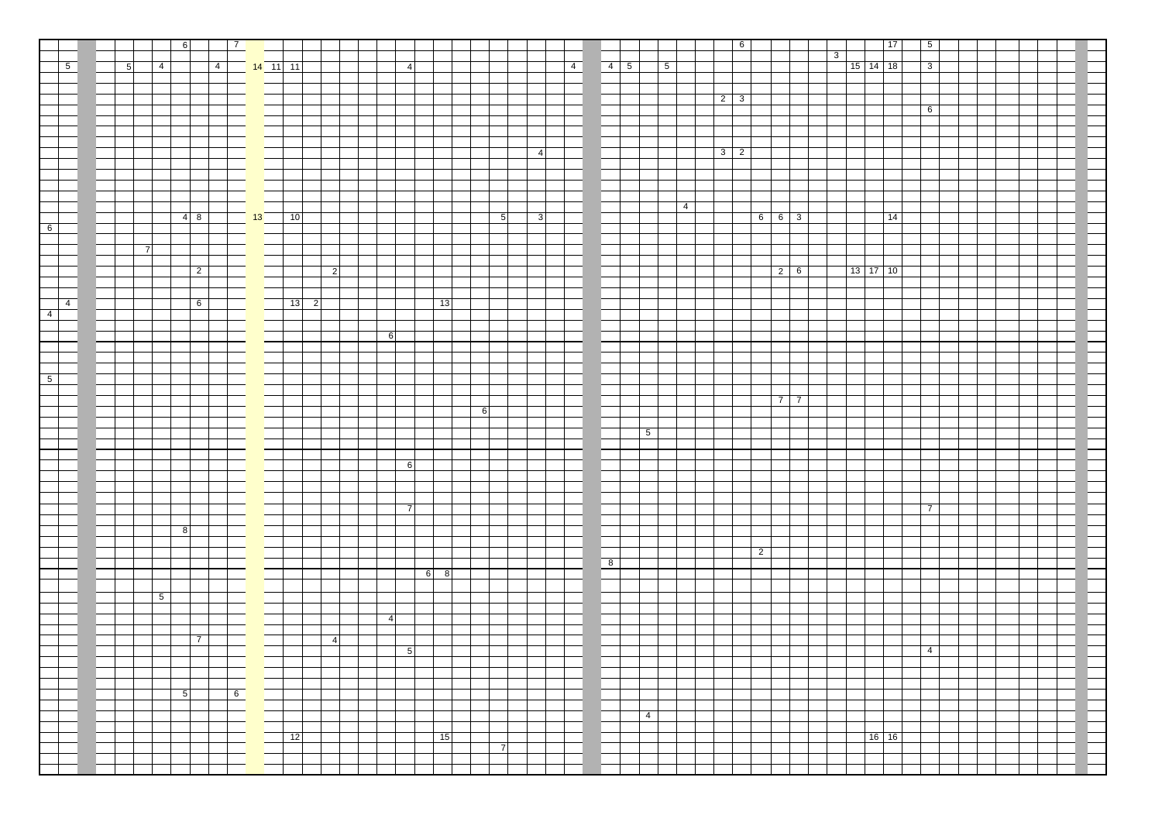|                |             |   |                | $6 \overline{}$          | $\boxed{7}$ |                                |              |                                                    |                |                |             |   |                 |                         |             |                                                                 |                |            |  | $6 \mid$        |       |            |   |            | 17    | $\boxed{5}$    |  |  |  |
|----------------|-------------|---|----------------|--------------------------|-------------|--------------------------------|--------------|----------------------------------------------------|----------------|----------------|-------------|---|-----------------|-------------------------|-------------|-----------------------------------------------------------------|----------------|------------|--|-----------------|-------|------------|---|------------|-------|----------------|--|--|--|
|                |             |   |                |                          |             |                                |              |                                                    |                |                |             |   |                 |                         |             |                                                                 |                |            |  |                 |       |            | 3 |            |       |                |  |  |  |
|                | $\boxed{5}$ | 5 | $\boxed{4}$    |                          |             | 4 14 11 11                     |              |                                                    |                | $\overline{4}$ |             |   |                 |                         | $\boxed{4}$ | $\begin{array}{ c c c c c } \hline 4 & 5 \\ \hline \end{array}$ |                | $\sqrt{5}$ |  |                 |       |            |   | $15$ 14 18 |       | 3              |  |  |  |
|                |             |   |                |                          |             |                                |              |                                                    |                |                |             |   |                 |                         |             |                                                                 |                |            |  |                 |       |            |   |            |       |                |  |  |  |
|                |             |   |                |                          |             |                                |              |                                                    |                |                |             |   |                 |                         |             |                                                                 |                |            |  | $2 \mid 3 \mid$ |       |            |   |            |       |                |  |  |  |
|                |             |   |                |                          |             |                                |              |                                                    |                |                |             |   |                 |                         |             |                                                                 |                |            |  |                 |       |            |   |            |       | 6              |  |  |  |
|                |             |   |                |                          |             |                                |              |                                                    |                |                |             |   |                 |                         |             |                                                                 |                |            |  |                 |       |            |   |            |       |                |  |  |  |
|                |             |   |                |                          |             |                                |              |                                                    |                |                |             |   |                 |                         |             |                                                                 |                |            |  |                 |       |            |   |            |       |                |  |  |  |
|                |             |   |                |                          |             |                                |              |                                                    |                |                |             |   |                 | 4                       |             |                                                                 |                |            |  | $3 \mid 2$      |       |            |   |            |       |                |  |  |  |
|                |             |   |                |                          |             |                                |              |                                                    |                |                |             |   |                 |                         |             |                                                                 |                |            |  |                 |       |            |   |            |       |                |  |  |  |
|                |             |   |                |                          |             |                                |              |                                                    |                |                |             |   |                 |                         |             |                                                                 |                |            |  |                 |       |            |   |            |       |                |  |  |  |
|                |             |   |                |                          |             |                                |              |                                                    |                |                |             |   |                 |                         |             |                                                                 |                |            |  |                 |       |            |   |            |       |                |  |  |  |
|                |             |   |                |                          |             |                                |              |                                                    |                |                |             |   |                 |                         |             |                                                                 |                |            |  |                 |       |            |   |            |       |                |  |  |  |
|                |             |   |                | 48                       |             | $\frac{1}{2}$ 13 $\frac{1}{2}$ | $\boxed{10}$ |                                                    |                |                |             |   | $5\overline{)}$ | $\overline{\mathbf{3}}$ |             |                                                                 |                | $-4$       |  |                 | $663$ |            |   |            | 14    |                |  |  |  |
| $\bullet$      |             |   |                |                          |             |                                |              |                                                    |                |                |             |   |                 |                         |             |                                                                 |                |            |  |                 |       |            |   |            |       |                |  |  |  |
|                |             |   |                |                          |             |                                |              |                                                    |                |                |             |   |                 |                         |             |                                                                 |                |            |  |                 |       |            |   |            |       |                |  |  |  |
|                |             |   | $\overline{7}$ |                          |             |                                |              |                                                    |                |                |             |   |                 |                         |             |                                                                 |                |            |  |                 |       |            |   |            |       |                |  |  |  |
|                |             |   |                |                          |             |                                |              |                                                    |                |                |             |   |                 |                         |             |                                                                 |                |            |  |                 |       |            |   |            |       |                |  |  |  |
|                |             |   |                | $\overline{2}$           |             |                                |              | $\vert$ 2                                          |                |                |             |   |                 |                         |             |                                                                 |                |            |  |                 |       | $2 \mid 6$ |   | $13$ 17 10 |       |                |  |  |  |
|                |             |   |                |                          |             |                                |              |                                                    |                |                |             |   |                 |                         |             |                                                                 |                |            |  |                 |       |            |   |            |       |                |  |  |  |
|                | $\boxed{4}$ |   |                | $6\overline{6}$          |             |                                |              | $\begin{array}{ c c c } \hline 13 & 2 \end{array}$ |                |                | 13          |   |                 |                         |             |                                                                 |                |            |  |                 |       |            |   |            |       |                |  |  |  |
| $\boxed{4}$    |             |   |                |                          |             |                                |              |                                                    |                |                |             |   |                 |                         |             |                                                                 |                |            |  |                 |       |            |   |            |       |                |  |  |  |
|                |             |   |                |                          |             |                                |              |                                                    |                |                |             |   |                 |                         |             |                                                                 |                |            |  |                 |       |            |   |            |       |                |  |  |  |
|                |             |   |                |                          |             |                                |              |                                                    | 6              |                |             |   |                 |                         |             |                                                                 |                |            |  |                 |       |            |   |            |       |                |  |  |  |
|                |             |   |                |                          |             |                                |              |                                                    |                |                |             |   |                 |                         |             |                                                                 |                |            |  |                 |       |            |   |            |       |                |  |  |  |
|                |             |   |                |                          |             |                                |              |                                                    |                |                |             |   |                 |                         |             |                                                                 |                |            |  |                 |       |            |   |            |       |                |  |  |  |
| 5 <sup>1</sup> |             |   |                |                          |             |                                |              |                                                    |                |                |             |   |                 |                         |             |                                                                 |                |            |  |                 |       |            |   |            |       |                |  |  |  |
|                |             |   |                |                          |             |                                |              |                                                    |                |                |             |   |                 |                         |             |                                                                 |                |            |  |                 |       |            |   |            |       |                |  |  |  |
|                |             |   |                |                          |             |                                |              |                                                    |                |                |             |   |                 |                         |             |                                                                 |                |            |  |                 |       | 77         |   |            |       |                |  |  |  |
|                |             |   |                |                          |             |                                |              |                                                    |                |                |             | 6 |                 |                         |             |                                                                 |                |            |  |                 |       |            |   |            |       |                |  |  |  |
|                |             |   |                |                          |             |                                |              |                                                    |                |                |             |   |                 |                         |             |                                                                 | $\overline{5}$ |            |  |                 |       |            |   |            |       |                |  |  |  |
|                |             |   |                |                          |             |                                |              |                                                    |                |                |             |   |                 |                         |             |                                                                 |                |            |  |                 |       |            |   |            |       |                |  |  |  |
|                |             |   |                |                          |             |                                |              |                                                    |                |                |             |   |                 |                         |             |                                                                 |                |            |  |                 |       |            |   |            |       |                |  |  |  |
|                |             |   |                |                          |             |                                |              |                                                    |                | 6              |             |   |                 |                         |             |                                                                 |                |            |  |                 |       |            |   |            |       |                |  |  |  |
|                |             |   |                |                          |             |                                |              |                                                    |                |                |             |   |                 |                         |             |                                                                 |                |            |  |                 |       |            |   |            |       |                |  |  |  |
|                |             |   |                |                          |             |                                |              |                                                    |                |                |             |   |                 |                         |             |                                                                 |                |            |  |                 |       |            |   |            |       |                |  |  |  |
|                |             |   |                |                          |             |                                |              |                                                    |                | $\overline{7}$ |             |   |                 |                         |             |                                                                 |                |            |  |                 |       |            |   |            |       | $\overline{7}$ |  |  |  |
|                |             |   |                |                          |             |                                |              |                                                    |                |                |             |   |                 |                         |             |                                                                 |                |            |  |                 |       |            |   |            |       |                |  |  |  |
|                |             |   |                | $\overline{\phantom{a}}$ |             |                                |              |                                                    |                |                |             |   |                 |                         |             |                                                                 |                |            |  |                 |       |            |   |            |       |                |  |  |  |
|                |             |   |                |                          |             |                                |              |                                                    |                |                |             |   |                 |                         |             |                                                                 |                |            |  | $\overline{2}$  |       |            |   |            |       |                |  |  |  |
|                |             |   |                |                          |             |                                |              |                                                    |                |                |             |   |                 |                         |             | 8                                                               |                |            |  |                 |       |            |   |            |       |                |  |  |  |
|                |             |   |                |                          |             |                                |              |                                                    |                |                | $6 \quad 8$ |   |                 |                         |             |                                                                 |                |            |  |                 |       |            |   |            |       |                |  |  |  |
|                |             |   |                |                          |             |                                |              |                                                    |                |                |             |   |                 |                         |             |                                                                 |                |            |  |                 |       |            |   |            |       |                |  |  |  |
|                |             |   | 5 <sub>5</sub> |                          |             |                                |              |                                                    |                |                |             |   |                 |                         |             |                                                                 |                |            |  |                 |       |            |   |            |       |                |  |  |  |
|                |             |   |                |                          |             |                                |              |                                                    | $\overline{4}$ |                |             |   |                 |                         |             |                                                                 |                |            |  |                 |       |            |   |            |       |                |  |  |  |
|                |             |   |                |                          |             |                                |              |                                                    |                |                |             |   |                 |                         |             |                                                                 |                |            |  |                 |       |            |   |            |       |                |  |  |  |
|                |             |   |                | $\overline{7}$           |             |                                |              | $\overline{4}$                                     |                |                |             |   |                 |                         |             |                                                                 |                |            |  |                 |       |            |   |            |       |                |  |  |  |
|                |             |   |                |                          |             |                                |              |                                                    |                | $\overline{5}$ |             |   |                 |                         |             |                                                                 |                |            |  |                 |       |            |   |            |       | $\boxed{4}$    |  |  |  |
|                |             |   |                |                          |             |                                |              |                                                    |                |                |             |   |                 |                         |             |                                                                 |                |            |  |                 |       |            |   |            |       |                |  |  |  |
|                |             |   |                |                          |             |                                |              |                                                    |                |                |             |   |                 |                         |             |                                                                 |                |            |  |                 |       |            |   |            |       |                |  |  |  |
|                |             |   |                | $\overline{5}$           | 6           |                                |              |                                                    |                |                |             |   |                 |                         |             |                                                                 |                |            |  |                 |       |            |   |            |       |                |  |  |  |
|                |             |   |                |                          |             |                                |              |                                                    |                |                |             |   |                 |                         |             |                                                                 |                |            |  |                 |       |            |   |            |       |                |  |  |  |
|                |             |   |                |                          |             |                                |              |                                                    |                |                |             |   |                 |                         |             |                                                                 | 4              |            |  |                 |       |            |   |            |       |                |  |  |  |
|                |             |   |                |                          |             |                                |              |                                                    |                |                |             |   |                 |                         |             |                                                                 |                |            |  |                 |       |            |   |            |       |                |  |  |  |
|                |             |   |                |                          |             |                                | 12           |                                                    |                |                | 15          |   | $\overline{7}$  |                         |             |                                                                 |                |            |  |                 |       |            |   |            | 16 16 |                |  |  |  |
|                |             |   |                |                          |             |                                |              |                                                    |                |                |             |   |                 |                         |             |                                                                 |                |            |  |                 |       |            |   |            |       |                |  |  |  |
|                |             |   |                |                          |             |                                |              |                                                    |                |                |             |   |                 |                         |             |                                                                 |                |            |  |                 |       |            |   |            |       |                |  |  |  |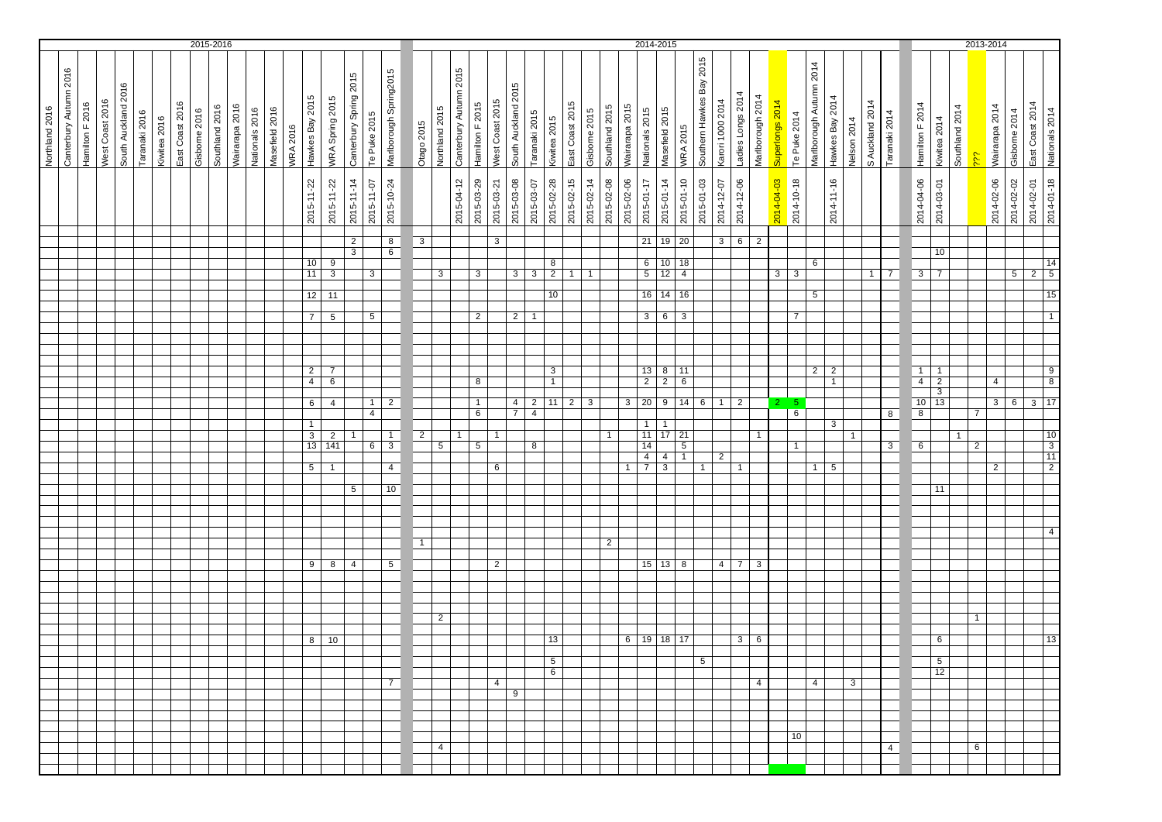|                |                        |                 |                 |                     |               |              |                 | 2015-2016    |                |                |                |                |                 |                               |                                    |                        |                |                                     |                         |                |                        |                 |                 |                     |                |                     |                 |              |                |                | 2014-2015                   |                    |                      |                          |                  |                   |                  |                 |                                         |                 |              |                 |                |                 |                                  |                | 2013-2014      |                |                 |                                                                            |
|----------------|------------------------|-----------------|-----------------|---------------------|---------------|--------------|-----------------|--------------|----------------|----------------|----------------|----------------|-----------------|-------------------------------|------------------------------------|------------------------|----------------|-------------------------------------|-------------------------|----------------|------------------------|-----------------|-----------------|---------------------|----------------|---------------------|-----------------|--------------|----------------|----------------|-----------------------------|--------------------|----------------------|--------------------------|------------------|-------------------|------------------|-----------------|-----------------------------------------|-----------------|--------------|-----------------|----------------|-----------------|----------------------------------|----------------|----------------|----------------|-----------------|----------------------------------------------------------------------------|
| Northland 2016 | Canterbury Autumn 2016 | Hamilton F 2016 | West Coast 2016 | South Auckland 2016 | Taranaki 2016 | Kiwitea 2016 | East Coast 2016 | Gisbome 2016 | Southland 2016 | Wairarapa 2016 | Nationals 2016 | Masefield 2016 | <b>WRA 2016</b> | Hawkes Bay 2015               | WRA Spring 2015                    | Canterbury Spring 2015 | Te Puke 2015   | Marlborough Spring2015              | Otago 2015              | Northland 2015 | Canterbury Autumn 2015 | Hamilton F 2015 | West Coast 2015 | South Auckland 2015 | Taranaki 2015  | Kiwitea 2015        | East Coast 2015 | Gisbome 2015 | Southland 2015 | Wairarapa 2015 | Nationals 2015              | Masefield 2015     | <b>WRA 2015</b>      | Southern Hawkes Bay 2015 | Karori 1000 2014 | Ladies Longs 2014 | Marlborough 2014 | Superlongs 2014 | Marlborough Autumn 2014<br>Te Puke 2014 | Hawkes Bay 2014 | Nelson 2014  | S Auckland 2014 | Taranaki 2014  | Hamilton F 2014 | Kiwitea 2014                     | Southland 2014 | έč             | Wairarapa 2014 | Gisborne 2014   | East Coast 2014<br>Nationals 2014                                          |
|                |                        |                 |                 |                     |               |              |                 |              |                |                |                |                |                 | 2015-11-22                    | 2015-11-22                         | 2015-11-14             | 2015-11-07     | 2015-10-24                          |                         |                | 2015-04-12             | 2015-03-29      | 2015-03-21      | 2015-03-08          | 2015-03-07     | 2015-02-28          | 2015-02-15      | 2015-02-14   | 2015-02-08     | 2015-02-06     | 2015-01-17                  | 2015-01-14         | 2015-01-10           | 2015-01-03               | 2014-12-07       | 2014-12-06        |                  | 2014-04-03      | 2014-10-18                              | 2014-11-16      |              |                 |                | 2014-04-06      | 2014-03-01                       |                |                | 2014-02-06     | 2014-02-02      | 2014-01-18<br>2014-02-01                                                   |
|                |                        |                 |                 |                     |               |              |                 |              |                |                |                |                |                 |                               |                                    | $\overline{2}$         |                | 8                                   | $\overline{\mathbf{3}}$ |                |                        |                 | $\overline{3}$  |                     |                |                     |                 |              |                |                |                             | $21 \overline{19}$ | 20                   |                          | 3 <sup>1</sup>   | $6\overline{6}$   | $\overline{2}$   |                 |                                         |                 |              |                 |                |                 |                                  |                |                |                |                 |                                                                            |
|                |                        |                 |                 |                     |               |              |                 |              |                |                |                |                |                 |                               |                                    | 3                      |                | $6\overline{6}$                     |                         |                |                        |                 |                 |                     |                |                     |                 |              |                |                |                             |                    |                      |                          |                  |                   |                  |                 |                                         |                 |              |                 |                |                 | 10                               |                |                |                |                 |                                                                            |
|                |                        |                 |                 |                     |               |              |                 |              |                |                |                |                |                 | 10<br>11                      | 9<br>3                             |                        | $\mathbf{3}$   |                                     |                         | 3              |                        | 3               |                 |                     | $3 \mid 3$     | 8<br>$\overline{2}$ | $\mathbf{1}$    | -1           |                |                | $6 \mid$<br>$5\overline{)}$ | 10<br>12           | 18<br>$\overline{4}$ |                          |                  |                   |                  | 3 <sup>1</sup>  | 6<br>$\overline{\mathbf{3}}$            |                 |              | 1               | $\overline{7}$ | $\mathbf{3}$    | $\overline{7}$                   |                |                |                | $5\overline{)}$ | $\overline{14}$<br>$\overline{5}$<br>$\overline{2}$                        |
|                |                        |                 |                 |                     |               |              |                 |              |                |                |                |                |                 |                               |                                    |                        |                |                                     |                         |                |                        |                 |                 |                     |                |                     |                 |              |                |                |                             |                    |                      |                          |                  |                   |                  |                 |                                         |                 |              |                 |                |                 |                                  |                |                |                |                 |                                                                            |
|                |                        |                 |                 |                     |               |              |                 |              |                |                |                |                |                 | 12                            | 11                                 |                        |                |                                     |                         |                |                        |                 |                 |                     |                | 10                  |                 |              |                |                | 16                          | 14                 | 16                   |                          |                  |                   |                  |                 | $5\overline{)}$                         |                 |              |                 |                |                 |                                  |                |                |                |                 | 15                                                                         |
|                |                        |                 |                 |                     |               |              |                 |              |                |                |                |                |                 | $\overline{7}$                | $5\phantom{.0}$                    |                        | 5              |                                     |                         |                |                        | $\overline{2}$  |                 | 2 <sup>1</sup>      | $\overline{1}$ |                     |                 |              |                |                | $\mathbf{3}$                | 6                  | 3                    |                          |                  |                   |                  |                 | $\overline{7}$                          |                 |              |                 |                |                 |                                  |                |                |                |                 | $\mathbf{1}$                                                               |
|                |                        |                 |                 |                     |               |              |                 |              |                |                |                |                |                 |                               |                                    |                        |                |                                     |                         |                |                        |                 |                 |                     |                |                     |                 |              |                |                |                             |                    |                      |                          |                  |                   |                  |                 |                                         |                 |              |                 |                |                 |                                  |                |                |                |                 |                                                                            |
|                |                        |                 |                 |                     |               |              |                 |              |                |                |                |                |                 |                               |                                    |                        |                |                                     |                         |                |                        |                 |                 |                     |                |                     |                 |              |                |                |                             |                    |                      |                          |                  |                   |                  |                 |                                         |                 |              |                 |                |                 |                                  |                |                |                |                 |                                                                            |
|                |                        |                 |                 |                     |               |              |                 |              |                |                |                |                |                 |                               |                                    |                        |                |                                     |                         |                |                        |                 |                 |                     |                |                     |                 |              |                |                |                             |                    |                      |                          |                  |                   |                  |                 |                                         |                 |              |                 |                |                 |                                  |                |                |                |                 |                                                                            |
|                |                        |                 |                 |                     |               |              |                 |              |                |                |                |                |                 | $\overline{2}$                | $\overline{7}$                     |                        |                |                                     |                         |                |                        |                 |                 |                     |                | 3                   |                 |              |                |                | 13                          | 8                  | 11                   |                          |                  |                   |                  |                 |                                         | $2 \mid 2$      |              |                 |                | $\overline{1}$  | $\overline{1}$                   |                |                |                |                 | $\begin{array}{c} 9 \\ 8 \end{array}$                                      |
|                |                        |                 |                 |                     |               |              |                 |              |                |                |                |                |                 | $\overline{4}$                | $6\overline{6}$                    |                        |                |                                     |                         |                |                        | 8               |                 |                     |                | $\mathbf{1}$        |                 |              |                |                | $\overline{2}$              | $\overline{2}$     | $6\overline{6}$      |                          |                  |                   |                  |                 |                                         | $\mathbf{1}$    |              |                 |                | $\overline{4}$  | $\overline{2}$<br>$\overline{3}$ |                |                | $\overline{4}$ |                 |                                                                            |
|                |                        |                 |                 |                     |               |              |                 |              |                |                |                |                |                 | 6                             | $\overline{4}$                     |                        | $\mathbf{1}$   | $\overline{2}$                      |                         |                |                        | $\mathbf{1}$    |                 | $\overline{4}$      | $\overline{2}$ | 11                  | $\overline{2}$  | 3            |                | $\overline{3}$ | 20                          | 9                  | 14                   | $6\overline{6}$          | $\mathbf{1}$     | $\overline{2}$    |                  | $\mathbf{2}$    | -5                                      |                 |              |                 |                | 10              | 13                               |                |                | 3              | $6\overline{6}$ | $3 \mid 17$                                                                |
|                |                        |                 |                 |                     |               |              |                 |              |                |                |                |                |                 |                               |                                    |                        | $\overline{4}$ |                                     |                         |                |                        | 6               |                 | $7^{\circ}$         | $\overline{4}$ |                     |                 |              |                |                |                             |                    |                      |                          |                  |                   |                  |                 | 6                                       |                 |              |                 | 8              | $\overline{8}$  |                                  |                | $\overline{7}$ |                |                 |                                                                            |
|                |                        |                 |                 |                     |               |              |                 |              |                |                |                |                |                 | $\mathbf{1}$                  |                                    |                        |                |                                     |                         |                |                        |                 |                 |                     |                |                     |                 |              | $\overline{1}$ |                | $1 \vert$                   | $\overline{1}$     |                      |                          |                  |                   | $\mathbf{1}$     |                 |                                         | 3               |              |                 |                |                 |                                  | $\overline{1}$ |                |                |                 |                                                                            |
|                |                        |                 |                 |                     |               |              |                 |              |                |                |                |                |                 | $\overline{\mathbf{3}}$<br>13 | $\overline{2}$<br>$\overline{141}$ | $\overline{1}$         | 6              | $\mathbf{1}$<br>$\overline{\omega}$ | $\overline{2}$          | 5              | $\overline{1}$         | $\overline{5}$  | $\mathbf{1}$    |                     | 8              |                     |                 |              |                |                | 11<br>14                    | 17                 | 21<br>$\overline{5}$ |                          |                  |                   |                  |                 | $\mathbf{1}$                            |                 | $\mathbf{1}$ |                 | $\overline{3}$ | $6\overline{6}$ |                                  |                | $\overline{2}$ |                |                 | $\begin{array}{ c c }\n\hline\n10 \\ \hline\n3 \\ \hline\n11\n\end{array}$ |
|                |                        |                 |                 |                     |               |              |                 |              |                |                |                |                |                 |                               |                                    |                        |                |                                     |                         |                |                        |                 |                 |                     |                |                     |                 |              |                |                | $\overline{4}$              | $\overline{4}$     | $\overline{1}$       |                          | $\overline{2}$   |                   |                  |                 |                                         |                 |              |                 |                |                 |                                  |                |                |                |                 |                                                                            |
|                |                        |                 |                 |                     |               |              |                 |              |                |                |                |                |                 | 5 <sup>5</sup>                | $\mathbf{1}$                       |                        |                | $\overline{4}$                      |                         |                |                        |                 | 6               |                     |                |                     |                 |              |                | $\mathbf{1}$   | $\overline{7}$              | $\overline{3}$     |                      | 1                        |                  | 1                 |                  |                 |                                         | $1 \mid 5$      |              |                 |                |                 |                                  |                |                | 2              |                 | $\overline{2}$                                                             |
|                |                        |                 |                 |                     |               |              |                 |              |                |                |                |                |                 |                               |                                    | $5\phantom{.0}$        |                | 10                                  |                         |                |                        |                 |                 |                     |                |                     |                 |              |                |                |                             |                    |                      |                          |                  |                   |                  |                 |                                         |                 |              |                 |                |                 | 11                               |                |                |                |                 |                                                                            |
|                |                        |                 |                 |                     |               |              |                 |              |                |                |                |                |                 |                               |                                    |                        |                |                                     |                         |                |                        |                 |                 |                     |                |                     |                 |              |                |                |                             |                    |                      |                          |                  |                   |                  |                 |                                         |                 |              |                 |                |                 |                                  |                |                |                |                 |                                                                            |
|                |                        |                 |                 |                     |               |              |                 |              |                |                |                |                |                 |                               |                                    |                        |                |                                     |                         |                |                        |                 |                 |                     |                |                     |                 |              |                |                |                             |                    |                      |                          |                  |                   |                  |                 |                                         |                 |              |                 |                |                 |                                  |                |                |                |                 |                                                                            |
|                |                        |                 |                 |                     |               |              |                 |              |                |                |                |                |                 |                               |                                    |                        |                |                                     |                         |                |                        |                 |                 |                     |                |                     |                 |              |                |                |                             |                    |                      |                          |                  |                   |                  |                 |                                         |                 |              |                 |                |                 |                                  |                |                |                |                 | $\overline{4}$                                                             |
|                |                        |                 |                 |                     |               |              |                 |              |                |                |                |                |                 |                               |                                    |                        |                |                                     | $\overline{1}$          |                |                        |                 |                 |                     |                |                     |                 |              | $\overline{2}$ |                |                             |                    |                      |                          |                  |                   |                  |                 |                                         |                 |              |                 |                |                 |                                  |                |                |                |                 |                                                                            |
|                |                        |                 |                 |                     |               |              |                 |              |                |                |                |                |                 |                               | $9 \mid 8 \mid 4$                  |                        |                | $5\overline{)}$                     |                         |                |                        |                 | $\overline{2}$  |                     |                |                     |                 |              |                |                |                             | $15$ 13 8          |                      |                          | 4                | 7 <sup>7</sup>    | $\mathbf{3}$     |                 |                                         |                 |              |                 |                |                 |                                  |                |                |                |                 |                                                                            |
|                |                        |                 |                 |                     |               |              |                 |              |                |                |                |                |                 |                               |                                    |                        |                |                                     |                         |                |                        |                 |                 |                     |                |                     |                 |              |                |                |                             |                    |                      |                          |                  |                   |                  |                 |                                         |                 |              |                 |                |                 |                                  |                |                |                |                 |                                                                            |
|                |                        |                 |                 |                     |               |              |                 |              |                |                |                |                |                 |                               |                                    |                        |                |                                     |                         |                |                        |                 |                 |                     |                |                     |                 |              |                |                |                             |                    |                      |                          |                  |                   |                  |                 |                                         |                 |              |                 |                |                 |                                  |                |                |                |                 |                                                                            |
|                |                        |                 |                 |                     |               |              |                 |              |                |                |                |                |                 |                               |                                    |                        |                |                                     |                         |                |                        |                 |                 |                     |                |                     |                 |              |                |                |                             |                    |                      |                          |                  |                   |                  |                 |                                         |                 |              |                 |                |                 |                                  |                |                |                |                 |                                                                            |
|                |                        |                 |                 |                     |               |              |                 |              |                |                |                |                |                 |                               |                                    |                        |                |                                     |                         | $\overline{2}$ |                        |                 |                 |                     |                |                     |                 |              |                |                |                             |                    |                      |                          |                  |                   |                  |                 |                                         |                 |              |                 |                |                 |                                  |                | $\mathbf{1}$   |                |                 |                                                                            |
|                |                        |                 |                 |                     |               |              |                 |              |                |                |                |                |                 | 8                             | 10                                 |                        |                |                                     |                         |                |                        |                 |                 |                     |                | 13                  |                 |              |                |                | $6$   19   18               |                    | 17                   |                          |                  | $\overline{3}$    | 6                |                 |                                         |                 |              |                 |                |                 | 6                                |                |                |                |                 | 13                                                                         |
|                |                        |                 |                 |                     |               |              |                 |              |                |                |                |                |                 |                               |                                    |                        |                |                                     |                         |                |                        |                 |                 |                     |                |                     |                 |              |                |                |                             |                    |                      |                          |                  |                   |                  |                 |                                         |                 |              |                 |                |                 |                                  |                |                |                |                 |                                                                            |
|                |                        |                 |                 |                     |               |              |                 |              |                |                |                |                |                 |                               |                                    |                        |                |                                     |                         |                |                        |                 |                 |                     |                | 5                   |                 |              |                |                |                             |                    |                      | 5                        |                  |                   |                  |                 |                                         |                 |              |                 |                |                 | 5                                |                |                |                |                 |                                                                            |
|                |                        |                 |                 |                     |               |              |                 |              |                |                |                |                |                 |                               |                                    |                        |                | 7 <sup>1</sup>                      |                         |                |                        |                 | $\overline{4}$  |                     |                | 6                   |                 |              |                |                |                             |                    |                      |                          |                  |                   | $\overline{4}$   |                 | 4                                       |                 | 3            |                 |                |                 | 12                               |                |                |                |                 |                                                                            |
|                |                        |                 |                 |                     |               |              |                 |              |                |                |                |                |                 |                               |                                    |                        |                |                                     |                         |                |                        |                 |                 | 9                   |                |                     |                 |              |                |                |                             |                    |                      |                          |                  |                   |                  |                 |                                         |                 |              |                 |                |                 |                                  |                |                |                |                 |                                                                            |
|                |                        |                 |                 |                     |               |              |                 |              |                |                |                |                |                 |                               |                                    |                        |                |                                     |                         |                |                        |                 |                 |                     |                |                     |                 |              |                |                |                             |                    |                      |                          |                  |                   |                  |                 |                                         |                 |              |                 |                |                 |                                  |                |                |                |                 |                                                                            |
|                |                        |                 |                 |                     |               |              |                 |              |                |                |                |                |                 |                               |                                    |                        |                |                                     |                         |                |                        |                 |                 |                     |                |                     |                 |              |                |                |                             |                    |                      |                          |                  |                   |                  |                 |                                         |                 |              |                 |                |                 |                                  |                |                |                |                 |                                                                            |
|                |                        |                 |                 |                     |               |              |                 |              |                |                |                |                |                 |                               |                                    |                        |                |                                     |                         |                |                        |                 |                 |                     |                |                     |                 |              |                |                |                             |                    |                      |                          |                  |                   |                  |                 | 10 <sup>10</sup>                        |                 |              |                 |                |                 |                                  |                |                |                |                 |                                                                            |
|                |                        |                 |                 |                     |               |              |                 |              |                |                |                |                |                 |                               |                                    |                        |                |                                     |                         | $\overline{4}$ |                        |                 |                 |                     |                |                     |                 |              |                |                |                             |                    |                      |                          |                  |                   |                  |                 |                                         |                 |              |                 | 4 <sup>1</sup> |                 |                                  |                | 6              |                |                 |                                                                            |
|                |                        |                 |                 |                     |               |              |                 |              |                |                |                |                |                 |                               |                                    |                        |                |                                     |                         |                |                        |                 |                 |                     |                |                     |                 |              |                |                |                             |                    |                      |                          |                  |                   |                  |                 |                                         |                 |              |                 |                |                 |                                  |                |                |                |                 |                                                                            |